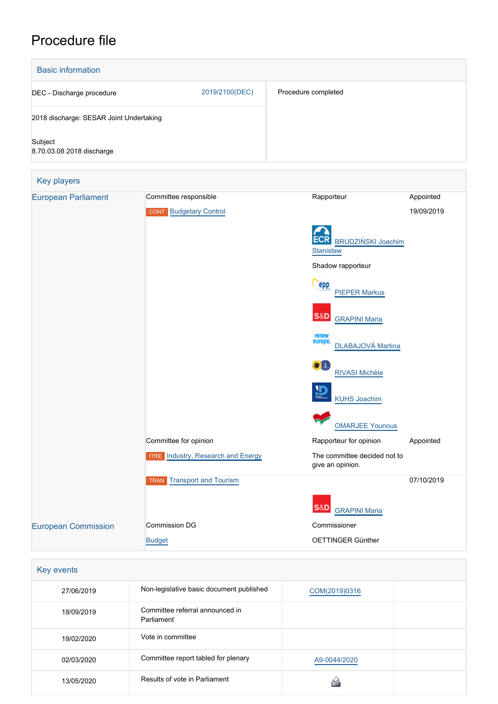# Procedure file



| 27/06/2019 | Non-legislative basic document published      | COM(2019)0316 |  |
|------------|-----------------------------------------------|---------------|--|
| 18/09/2019 | Committee referral announced in<br>Parliament |               |  |
| 19/02/2020 | Vote in committee                             |               |  |
| 02/03/2020 | Committee report tabled for plenary           | A9-0044/2020  |  |
| 13/05/2020 | Results of vote in Parliament                 |               |  |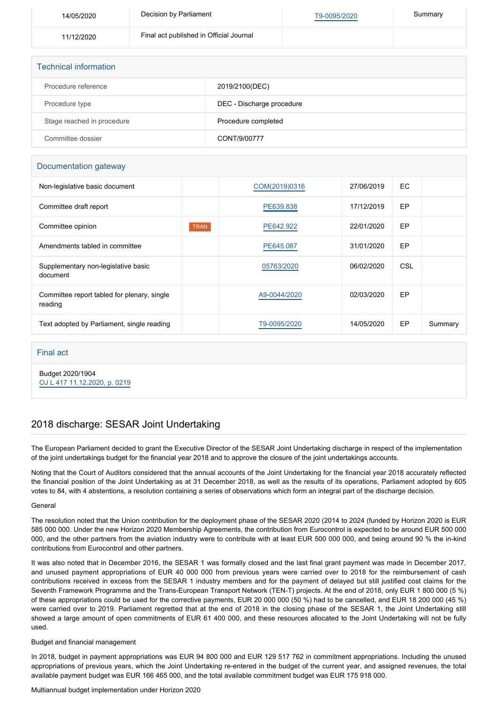| 14/05/2020 | Decision by Parliament                  | T9-0095/2020 | Summary |
|------------|-----------------------------------------|--------------|---------|
| 11/12/2020 | Final act published in Official Journal |              |         |
|            |                                         |              |         |
|            |                                         |              |         |

| <b>Technical information</b> |                           |  |  |  |
|------------------------------|---------------------------|--|--|--|
| Procedure reference          | 2019/2100(DEC)            |  |  |  |
| Procedure type               | DEC - Discharge procedure |  |  |  |
| Stage reached in procedure   | Procedure completed       |  |  |  |
| Committee dossier            | CONT/9/00777              |  |  |  |

# Documentation gateway

| Non-legislative basic document                         |             | COM(2019)0316 | 27/06/2019 | EC.        |         |
|--------------------------------------------------------|-------------|---------------|------------|------------|---------|
| Committee draft report                                 |             | PE639.838     | 17/12/2019 | EP         |         |
| Committee opinion                                      | <b>TRAN</b> | PE642.922     | 22/01/2020 | EP         |         |
| Amendments tabled in committee                         |             | PE645.087     | 31/01/2020 | EP         |         |
| Supplementary non-legislative basic<br>document        |             | 05763/2020    | 06/02/2020 | <b>CSL</b> |         |
| Committee report tabled for plenary, single<br>reading |             | A9-0044/2020  | 02/03/2020 | <b>EP</b>  |         |
| Text adopted by Parliament, single reading             |             | T9-0095/2020  | 14/05/2020 | EP         | Summary |

# Final act

Budget 2020/1904 [OJ L 417 11.12.2020, p. 0219](https://eur-lex.europa.eu/legal-content/EN/TXT/?uri=OJ:L:2020:417:TOC)

# 2018 discharge: SESAR Joint Undertaking

The European Parliament decided to grant the Executive Director of the SESAR Joint Undertaking discharge in respect of the implementation of the joint undertakings budget for the financial year 2018 and to approve the closure of the joint undertakings accounts.

Noting that the Court of Auditors considered that the annual accounts of the Joint Undertaking for the financial year 2018 accurately reflected the financial position of the Joint Undertaking as at 31 December 2018, as well as the results of its operations, Parliament adopted by 605 votes to 84, with 4 abstentions, a resolution containing a series of observations which form an integral part of the discharge decision.

#### General

The resolution noted that the Union contribution for the deployment phase of the SESAR 2020 (2014 to 2024 (funded by Horizon 2020 is EUR 585 000 000. Under the new Horizon 2020 Membership Agreements, the contribution from Eurocontrol is expected to be around EUR 500 000 000, and the other partners from the aviation industry were to contribute with at least EUR 500 000 000, and being around 90 % the in-kind contributions from Eurocontrol and other partners.

It was also noted that in December 2016, the SESAR 1 was formally closed and the last final grant payment was made in December 2017, and unused payment appropriations of EUR 40 000 000 from previous years were carried over to 2018 for the reimbursement of cash contributions received in excess from the SESAR 1 industry members and for the payment of delayed but still justified cost claims for the Seventh Framework Programme and the Trans-European Transport Network (TEN-T) projects. At the end of 2018, only EUR 1 800 000 (5 %) of these appropriations could be used for the corrective payments, EUR 20 000 000 (50 %) had to be cancelled, and EUR 18 200 000 (45 %) were carried over to 2019. Parliament regretted that at the end of 2018 in the closing phase of the SESAR 1, the Joint Undertaking still showed a large amount of open commitments of EUR 61 400 000, and these resources allocated to the Joint Undertaking will not be fully used.

## Budget and financial management

In 2018, budget in payment appropriations was EUR 94 800 000 and EUR 129 517 762 in commitment appropriations. Including the unused appropriations of previous years, which the Joint Undertaking re-entered in the budget of the current year, and assigned revenues, the total available payment budget was EUR 166 465 000, and the total available commitment budget was EUR 175 918 000.

## Multiannual budget implementation under Horizon 2020